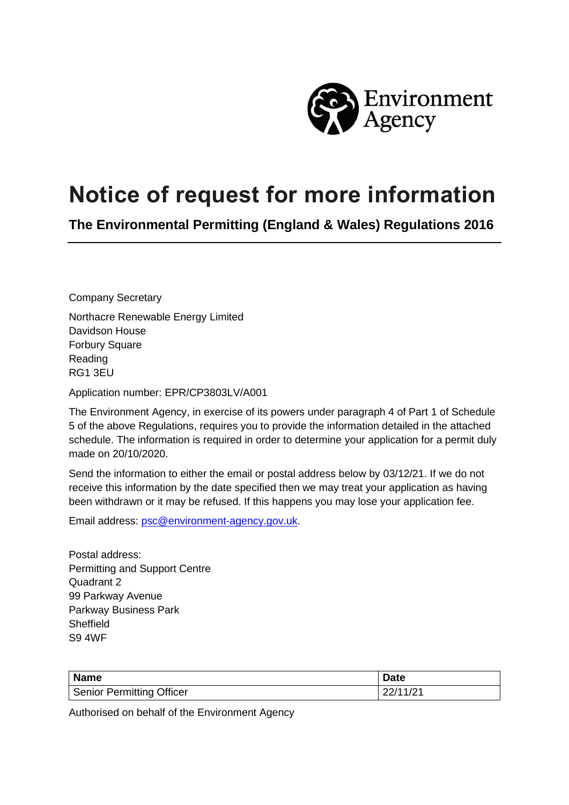

## **Notice of request for more information**

**The Environmental Permitting (England & Wales) Regulations 2016**

Company Secretary

Northacre Renewable Energy Limited Davidson House Forbury Square Reading RG1 3EU

Application number: EPR/CP3803LV/A001

The Environment Agency, in exercise of its powers under paragraph 4 of Part 1 of Schedule 5 of the above Regulations, requires you to provide the information detailed in the attached schedule. The information is required in order to determine your application for a permit duly made on 20/10/2020.

Send the information to either the email or postal address below by 03/12/21. If we do not receive this information by the date specified then we may treat your application as having been withdrawn or it may be refused. If this happens you may lose your application fee.

Email address: [psc@environment-agency.gov.uk.](mailto:psc@environment-agency.gov.uk)

Postal address: Permitting and Support Centre Quadrant 2 99 Parkway Avenue Parkway Business Park **Sheffield** S9 4WF

| <b>Name</b>               | Date     |
|---------------------------|----------|
| Senior Permitting Officer | 22/11/21 |

Authorised on behalf of the Environment Agency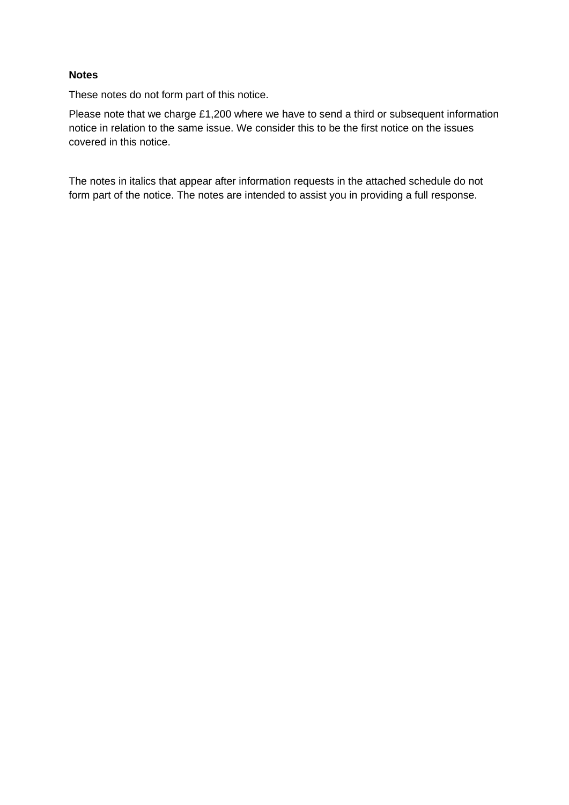## **Notes**

These notes do not form part of this notice.

Please note that we charge £1,200 where we have to send a third or subsequent information notice in relation to the same issue. We consider this to be the first notice on the issues covered in this notice.

The notes in italics that appear after information requests in the attached schedule do not form part of the notice. The notes are intended to assist you in providing a full response.